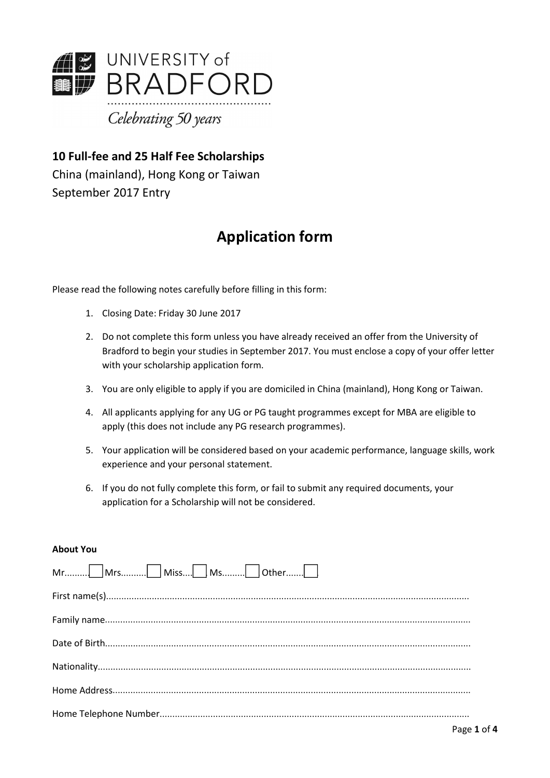

**10 Full-fee and 25 Half Fee Scholarships** China (mainland), Hong Kong or Taiwan September 2017 Entry

# **Application form**

Please read the following notes carefully before filling in this form:

- 1. Closing Date: Friday 30 June 2017
- 2. Do not complete this form unless you have already received an offer from the University of Bradford to begin your studies in September 2017. You must enclose a copy of your offer letter with your scholarship application form.
- 3. You are only eligible to apply if you are domiciled in China (mainland), Hong Kong or Taiwan.
- 4. All applicants applying for any UG or PG taught programmes except for MBA are eligible to apply (this does not include any PG research programmes).
- 5. Your application will be considered based on youracademic performance, language skills, work experience and your personal statement.
- 6. If you do not fully complete this form, or fail to submit any required documents, your application for a Scholarship will not be considered.

#### **About You**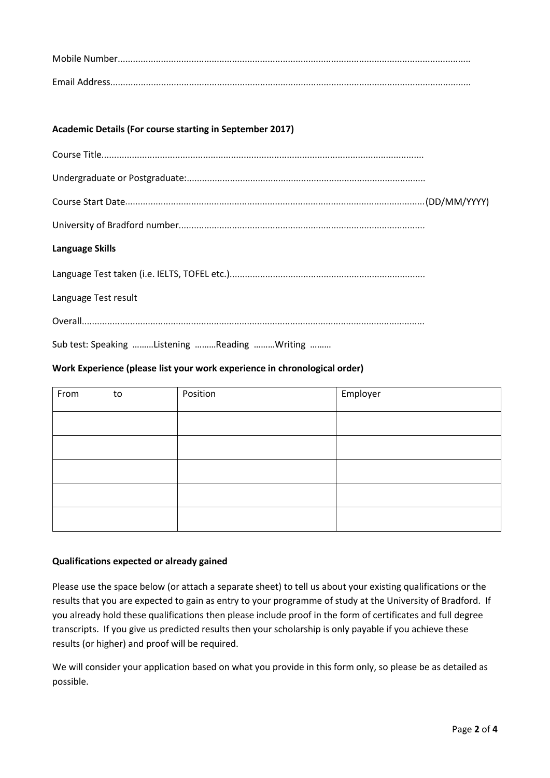## **Academic Details (For course starting in September 2017)**

#### **Language Skills**

Language Test taken (i.e. IELTS, TOFEL etc.).............................................................................

Language Test result

Overall.......................................................................................................................................

Sub test: Speaking ………Listening ………Reading ………Writing ………

#### **Work Experience (please list your work experience in chronological order)**

| From | to | Position | Employer |
|------|----|----------|----------|
|      |    |          |          |
|      |    |          |          |
|      |    |          |          |
|      |    |          |          |
|      |    |          |          |

#### **Qualifications expected or already gained**

Please use the space below (or attach a separate sheet) to tell us about your existing qualifications or the results that you are expected to gain as entry to your programme of study at the University of Bradford. If you already hold these qualifications then please include proof in the form of certificates and full degree transcripts. If you give us predicted results then your scholarship is only payable if you achieve these results (or higher) and proof will be required.

We will consider your application based on what you provide in this form only, so please be as detailed as possible.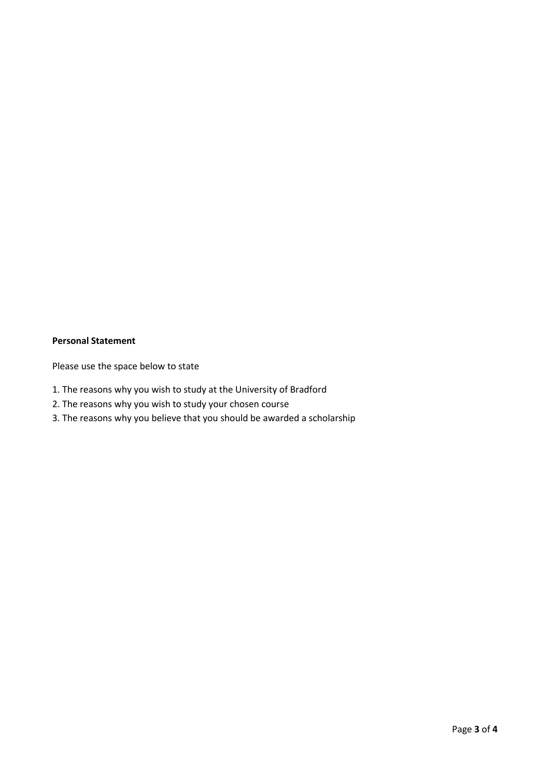# **Personal Statement**

Please use the space below to state

- 1. The reasons why you wish to study at the University of Bradford
- 2. The reasons why you wish to study your chosen course
- 3. The reasons why you believe that you should be awarded a scholarship